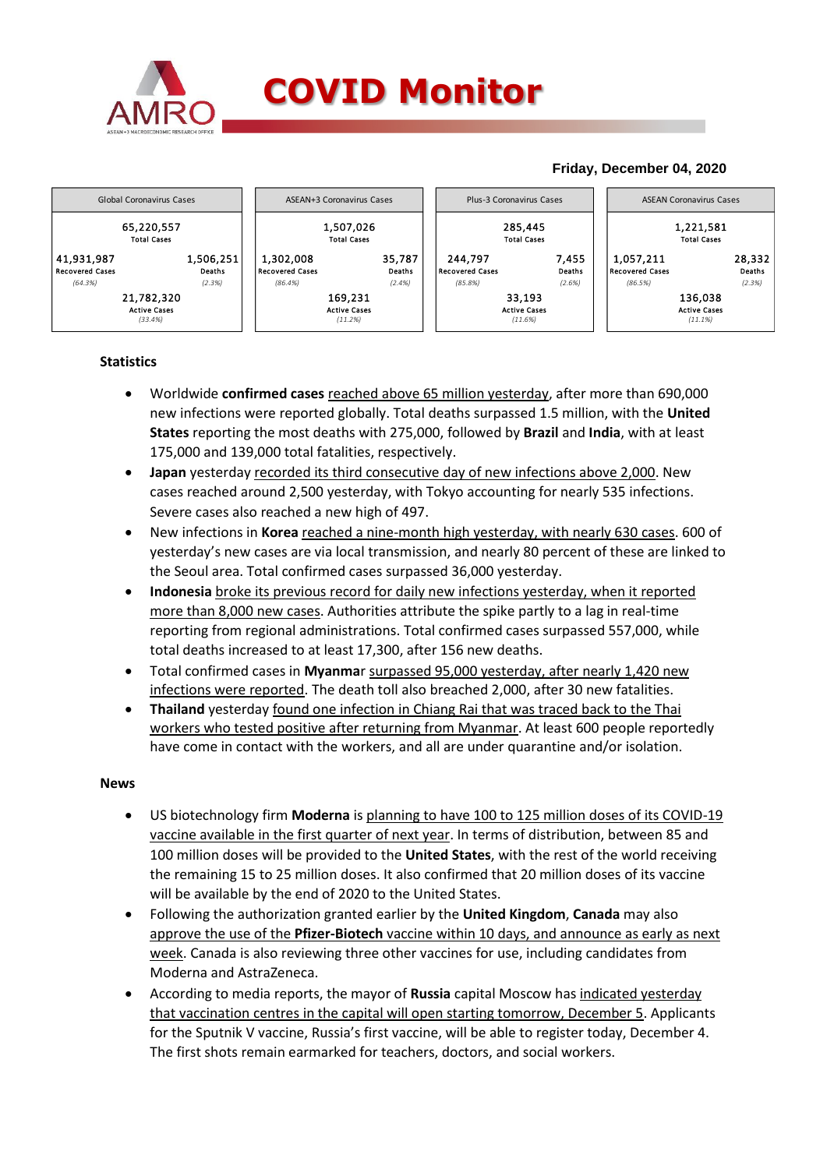

# **Friday, December 04, 2020**



# **Statistics**

- Worldwide **confirmed cases** reached above 65 million yesterday, after more than 690,000 new infections were reported globally. Total deaths surpassed 1.5 million, with the **United States** reporting the most deaths with 275,000, followed by **Brazil** and **India**, with at least 175,000 and 139,000 total fatalities, respectively.
- **•** Japan yesterday recorded its third consecutive day of new infections above 2,000. New cases reached around 2,500 yesterday, with Tokyo accounting for nearly 535 infections. Severe cases also reached a new high of 497.
- New infections in **Korea** reached a nine-month high yesterday, with nearly 630 cases. 600 of yesterday's new cases are via local transmission, and nearly 80 percent of these are linked to the Seoul area. Total confirmed cases surpassed 36,000 yesterday.
- **Indonesia** broke its previous record for daily new infections yesterday, when it reported more than 8,000 new cases. Authorities attribute the spike partly to a lag in real-time reporting from regional administrations. Total confirmed cases surpassed 557,000, while total deaths increased to at least 17,300, after 156 new deaths.
- Total confirmed cases in **Myanma**r surpassed 95,000 yesterday, after nearly 1,420 new infections were reported. The death toll also breached 2,000, after 30 new fatalities.
- **Thailand** yesterday found one infection in Chiang Rai that was traced back to the Thai workers who tested positive after returning from Myanmar. At least 600 people reportedly have come in contact with the workers, and all are under quarantine and/or isolation.

### **News**

- US biotechnology firm **Moderna** is planning to have 100 to 125 million doses of its COVID-19 vaccine available in the first quarter of next year. In terms of distribution, between 85 and 100 million doses will be provided to the **United States**, with the rest of the world receiving the remaining 15 to 25 million doses. It also confirmed that 20 million doses of its vaccine will be available by the end of 2020 to the United States.
- Following the authorization granted earlier by the **United Kingdom**, **Canada** may also approve the use of the **Pfizer-Biotech** vaccine within 10 days, and announce as early as next week. Canada is also reviewing three other vaccines for use, including candidates from Moderna and AstraZeneca.
- According to media reports, the mayor of **Russia** capital Moscow has indicated yesterday that vaccination centres in the capital will open starting tomorrow, December 5. Applicants for the Sputnik V vaccine, Russia's first vaccine, will be able to register today, December 4. The first shots remain earmarked for teachers, doctors, and social workers.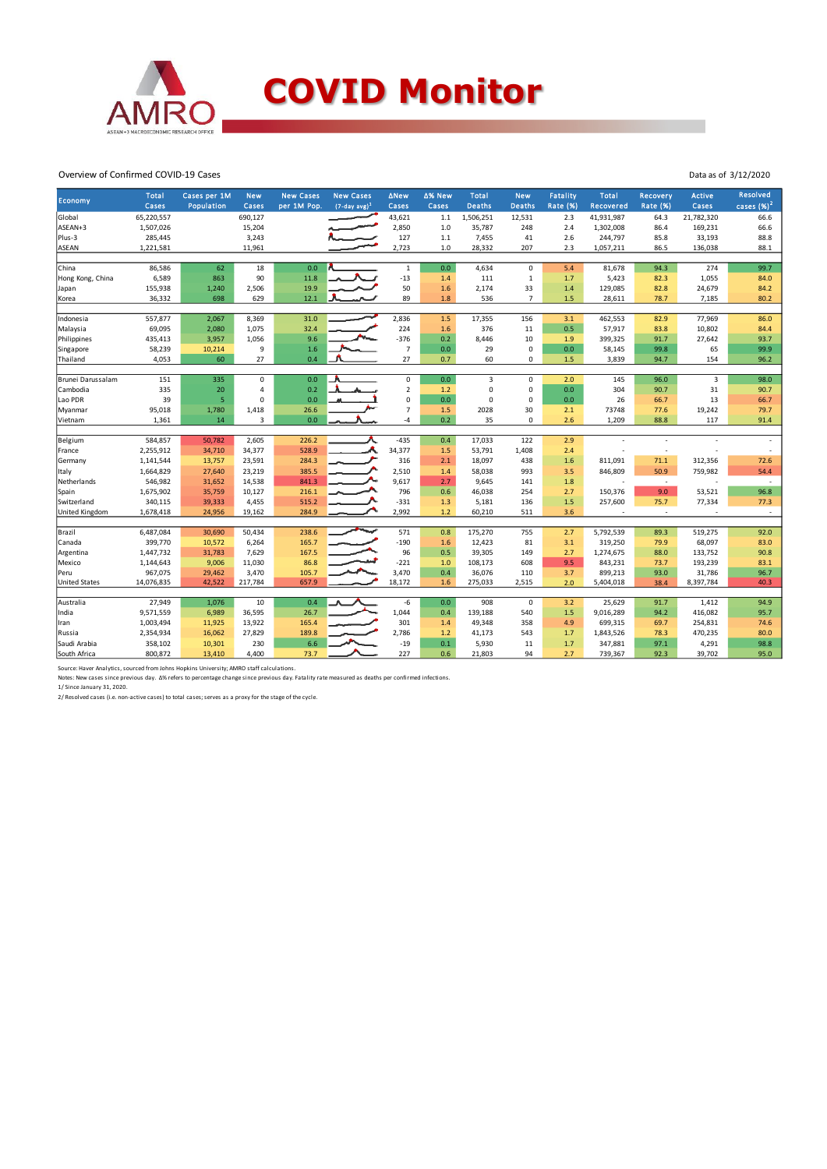

#### Overview of Confirmed COVID-19 Cases

| Economy               | Total<br>Cases | Cases per 1M<br>Population | <b>New</b><br>Cases | <b>New Cases</b><br>per 1M Pop. | <b>New Cases</b><br>$(7-day avg)^1$ | <b>ANew</b><br>Cases | ∆% New<br>Cases | <b>Total</b><br><b>Deaths</b> | <b>New</b><br><b>Deaths</b> | <b>Fatality</b><br><b>Rate (%)</b> | <b>Total</b><br>Recovered | Recovery<br><b>Rate (%)</b> | <b>Active</b><br>Cases | Resolved<br>cases $(%)2$ |
|-----------------------|----------------|----------------------------|---------------------|---------------------------------|-------------------------------------|----------------------|-----------------|-------------------------------|-----------------------------|------------------------------------|---------------------------|-----------------------------|------------------------|--------------------------|
| Global                | 65,220,557     |                            | 690,127             |                                 |                                     | 43,621               | 1.1             | 1,506,251                     | 12,531                      | 2.3                                | 41,931,987                | 64.3                        | 21,782,320             | 66.6                     |
| ASEAN+3               | 1,507,026      |                            | 15,204              |                                 |                                     | 2,850                | 1.0             | 35,787                        | 248                         | 2.4                                | 1,302,008                 | 86.4                        | 169,231                | 66.6                     |
| Plus-3                | 285,445        |                            | 3,243               |                                 |                                     | 127                  | $1.1$           | 7,455                         | 41                          | 2.6                                | 244,797                   | 85.8                        | 33,193                 | 88.8                     |
| ASEAN                 | 1,221,581      |                            | 11,961              |                                 |                                     | 2,723                | 1.0             | 28,332                        | 207                         | 2.3                                | 1,057,211                 | 86.5                        | 136,038                | 88.1                     |
|                       |                |                            |                     |                                 |                                     |                      |                 |                               |                             |                                    |                           |                             |                        |                          |
| China                 | 86,586         | 62                         | 18                  | 0.0                             |                                     | $\mathbf 1$          | $0.0\,$         | 4,634                         | $\mathbf 0$                 | 5.4                                | 81,678                    | 94.3                        | 274                    | 99.7                     |
| Hong Kong, China      | 6,589          | 863                        | 90                  | 11.8                            |                                     | $-13$                | 1.4             | 111                           | $\mathbf 1$                 | 1.7                                | 5,423                     | 82.3                        | 1,055                  | 84.0                     |
| Japan                 | 155,938        | 1,240                      | 2,506               | 19.9                            |                                     | 50                   | 1.6             | 2,174                         | 33                          | 1.4                                | 129,085                   | 82.8                        | 24,679                 | 84.2                     |
| Korea                 | 36,332         | 698                        | 629                 | 12.1                            |                                     | 89                   | 1.8             | 536                           | $\overline{7}$              | 1.5                                | 28,611                    | 78.7                        | 7,185                  | 80.2                     |
| Indonesia             | 557,877        | 2,067                      | 8,369               | 31.0                            |                                     | 2,836                | 1.5             | 17,355                        | 156                         | 3.1                                | 462,553                   | 82.9                        | 77,969                 | 86.0                     |
| Malaysia              | 69,095         | 2,080                      | 1,075               | 32.4                            |                                     | 224                  | 1.6             | 376                           | 11                          | 0.5                                | 57,917                    | 83.8                        | 10,802                 | 84.4                     |
| Philippines           | 435,413        | 3,957                      | 1,056               | 9.6                             |                                     | $-376$               | 0.2             | 8,446                         | 10                          | 1.9                                | 399,325                   | 91.7                        | 27,642                 | 93.7                     |
| Singapore             | 58,239         | 10,214                     | 9                   | 1.6                             |                                     | $\overline{7}$       | 0.0             | 29                            | 0                           | 0.0                                | 58,145                    | 99.8                        | 65                     | 99.9                     |
| Thailand              | 4,053          | 60                         | 27                  | 0.4                             |                                     | 27                   | 0.7             | 60                            | 0                           | 1.5                                | 3,839                     | 94.7                        | 154                    | 96.2                     |
|                       |                |                            |                     |                                 |                                     |                      |                 |                               |                             |                                    |                           |                             |                        |                          |
| Brunei Darussalam     | 151            | 335                        | $\mathbf 0$         | 0.0                             |                                     | $\mathsf 0$          | 0.0             | $\overline{3}$                | $\mathbf 0$                 | 2.0                                | 145                       | 96.0                        | 3                      | 98.0                     |
| Cambodia              | 335            | 20                         | 4                   | 0.2                             |                                     | $\overline{2}$       | 1.2             | $\mathbf 0$                   | $\mathbf 0$                 | 0.0                                | 304                       | 90.7                        | 31                     | 90.7                     |
| Lao PDR               | 39             | 5                          | $\mathbf 0$         | 0.0                             |                                     | $\mathsf 0$          | 0.0             | $\mathbf 0$                   | $\mathbf 0$                 | 0.0                                | 26                        | 66.7                        | 13                     | 66.7                     |
| Myanmar               | 95,018         | 1,780                      | 1,418               | 26.6                            |                                     | $\overline{7}$       | 1.5             | 2028                          | 30                          | 2.1                                | 73748                     | 77.6                        | 19,242                 | 79.7                     |
| Vietnam               | 1,361          | 14                         | 3                   | 0.0                             |                                     | $-4$                 | 0.2             | 35                            | $\mathbf 0$                 | 2.6                                | 1,209                     | 88.8                        | 117                    | 91.4                     |
|                       |                |                            |                     |                                 |                                     |                      |                 |                               |                             |                                    |                           |                             |                        |                          |
| Belgium               | 584,857        | 50,782                     | 2,605               | 226.2                           |                                     | $-435$               | 0.4             | 17,033                        | 122                         | 2.9                                |                           |                             |                        |                          |
| France                | 2,255,912      | 34,710                     | 34,377              | 528.9                           |                                     | 34,377               | 1.5             | 53,791                        | 1,408                       | 2.4                                |                           | ٠                           |                        | $\overline{\phantom{a}}$ |
| Germany               | 1,141,544      | 13,757                     | 23,591              | 284.3                           |                                     | 316                  | 2.1             | 18,097                        | 438                         | 1.6                                | 811,091                   | 71.1                        | 312,356                | 72.6                     |
| Italy                 | 1,664,829      | 27,640                     | 23,219              | 385.5                           |                                     | 2,510                | 1.4             | 58,038                        | 993                         | 3.5                                | 846,809                   | 50.9                        | 759,982                | 54.4                     |
| Netherlands           | 546,982        | 31,652                     | 14,538              | 841.3                           |                                     | 9,617                | 2.7             | 9,645                         | 141                         | 1.8                                |                           | $\sim$                      |                        | $\sim$                   |
| Spain                 | 1,675,902      | 35,759                     | 10,127              | 216.1                           |                                     | 796                  | 0.6             | 46,038                        | 254                         | 2.7                                | 150,376                   | 9.0                         | 53,521                 | 96.8                     |
| Switzerland           | 340,115        | 39,333                     | 4,455               | 515.2                           |                                     | $-331$               | 1.3             | 5,181                         | 136                         | 1.5                                | 257,600                   | 75.7                        | 77,334                 | 77.3                     |
| <b>United Kingdom</b> | 1,678,418      | 24,956                     | 19,162              | 284.9                           |                                     | 2,992                | 1.2             | 60,210                        | 511                         | 3.6                                |                           | $\overline{\phantom{a}}$    | ×,                     | $\sim$                   |
| Brazil                | 6,487,084      | 30,690                     | 50,434              | 238.6                           | مهبعه                               | 571                  | 0.8             | 175,270                       | 755                         | 2.7                                | 5,792,539                 | 89.3                        | 519,275                | 92.0                     |
| Canada                | 399,770        | 10,572                     | 6,264               | 165.7                           |                                     | $-190$               | 1.6             | 12,423                        | 81                          | 3.1                                | 319,250                   | 79.9                        | 68,097                 | 83.0                     |
| Argentina             | 1,447,732      | 31,783                     | 7,629               | 167.5                           |                                     | 96                   | 0.5             | 39,305                        | 149                         | 2.7                                | 1,274,675                 | 88.0                        | 133,752                | 90.8                     |
| Mexico                | 1,144,643      | 9,006                      | 11,030              | 86.8                            |                                     | $-221$               | 1.0             | 108,173                       | 608                         | 9.5                                | 843,231                   | 73.7                        | 193,239                | 83.1                     |
| Peru                  | 967,075        | 29,462                     | 3,470               | 105.7                           |                                     | 3,470                | 0.4             | 36,076                        | 110                         | 3.7                                | 899,213                   | 93.0                        | 31,786                 | 96.7                     |
| <b>United States</b>  | 14,076,835     | 42,522                     | 217,784             | 657.9                           |                                     | 18,172               | 1.6             | 275,033                       | 2,515                       | 2.0                                | 5,404,018                 | 38.4                        | 8,397,784              | 40.3                     |
|                       |                |                            |                     |                                 |                                     |                      |                 |                               |                             |                                    |                           |                             |                        |                          |
| Australia             | 27,949         | 1,076                      | 10                  | 0.4                             |                                     | $-6$                 | 0.0             | 908                           | $\mathbf 0$                 | 3.2                                | 25,629                    | 91.7                        | 1,412                  | 94.9                     |
| India                 | 9,571,559      | 6,989                      | 36,595              | 26.7                            |                                     | 1,044                | 0.4             | 139,188                       | 540                         | 1.5                                | 9,016,289                 | 94.2                        | 416,082                | 95.7                     |
| Iran                  | 1,003,494      | 11,925                     | 13,922              | 165.4                           |                                     | 301                  | 1.4             | 49,348                        | 358                         | 4.9                                | 699,315                   | 69.7                        | 254,831                | 74.6                     |
| Russia                | 2,354,934      | 16,062                     | 27,829              | 189.8                           |                                     | 2,786                | 1.2             | 41,173                        | 543                         | 1.7                                | 1,843,526                 | 78.3                        | 470,235                | 80.0                     |
| Saudi Arabia          | 358,102        | 10,301                     | 230                 | 6.6                             |                                     | $-19$                | 0.1             | 5,930                         | 11                          | 1.7                                | 347,881                   | 97.1                        | 4,291                  | 98.8                     |
| South Africa          | 800,872        | 13,410                     | 4,400               | 73.7                            |                                     | 227                  | 0.6             | 21,803                        | 94                          | 2.7                                | 739,367                   | 92.3                        | 39,702                 | 95.0                     |

Data as of 3/12/2020

Source: Haver Analytics, sourced from Johns Hopkins University; AMRO staff calculations.

Notes: New cases since previous day. ∆% refers to percentage change since previous day. Fatality rate measured as deaths per confirmed infections.<br>1/ Since January 31, 2020.<br>2/ Resolved cases (i.e. non-active cases) to tot